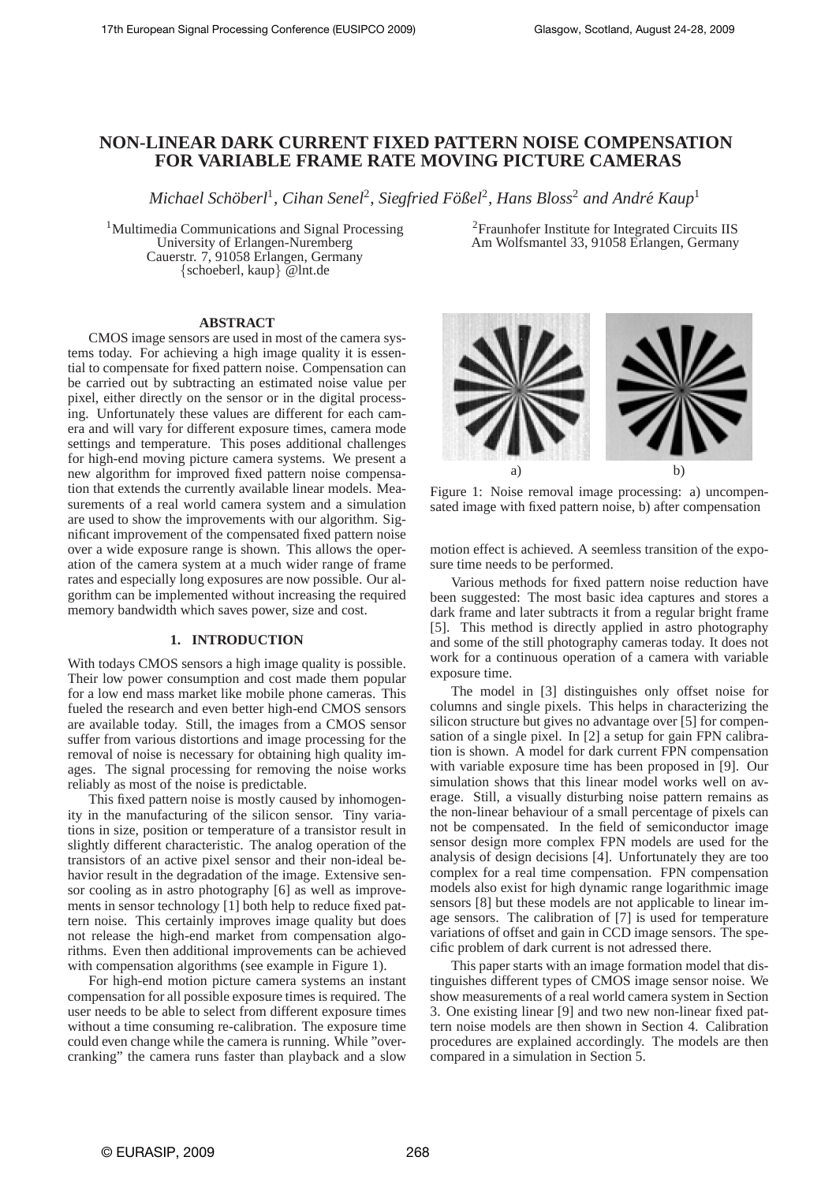# **NON-LINEAR DARK CURRENT FIXED PATTERN NOISE COMPENSATION FOR VARIABLE FRAME RATE MOVING PICTURE CAMERAS**

 $M$ ichael Schöberl<sup>1</sup>, Cihan Senel<sup>2</sup>, Siegfried Fößel<sup>2</sup>, Hans Bloss<sup>2</sup> and André Kaup<sup>1</sup>

<sup>1</sup>Multimedia Communications and Signal Processing University of Erlangen-Nuremberg Cauerstr. 7, 91058 Erlangen, Germany {schoeberl, kaup} @lnt.de

#### **ABSTRACT**

CMOS image sensors are used in most of the camera systems today. For achieving a high image quality it is essential to compensate for fixed pattern noise. Compensation can be carried out by subtracting an estimated noise value per pixel, either directly on the sensor or in the digital processing. Unfortunately these values are different for each camera and will vary for different exposure times, camera mode settings and temperature. This poses additional challenges for high-end moving picture camera systems. We present a new algorithm for improved fixed pattern noise compensation that extends the currently available linear models. Measurements of a real world camera system and a simulation are used to show the improvements with our algorithm. Significant improvement of the compensated fixed pattern noise over a wide exposure range is shown. This allows the operation of the camera system at a much wider range of frame rates and especially long exposures are now possible. Our algorithm can be implemented without increasing the required memory bandwidth which saves power, size and cost.

## **1. INTRODUCTION**

With todays CMOS sensors a high image quality is possible. Their low power consumption and cost made them popular for a low end mass market like mobile phone cameras. This fueled the research and even better high-end CMOS sensors are available today. Still, the images from a CMOS sensor suffer from various distortions and image processing for the removal of noise is necessary for obtaining high quality images. The signal processing for removing the noise works reliably as most of the noise is predictable.

This fixed pattern noise is mostly caused by inhomogenity in the manufacturing of the silicon sensor. Tiny variations in size, position or temperature of a transistor result in slightly different characteristic. The analog operation of the transistors of an active pixel sensor and their non-ideal behavior result in the degradation of the image. Extensive sensor cooling as in astro photography [6] as well as improvements in sensor technology [1] both help to reduce fixed pattern noise. This certainly improves image quality but does not release the high-end market from compensation algorithms. Even then additional improvements can be achieved with compensation algorithms (see example in Figure 1).

For high-end motion picture camera systems an instant compensation for all possible exposure times is required. The user needs to be able to select from different exposure times without a time consuming re-calibration. The exposure time could even change while the camera is running. While "overcranking" the camera runs faster than playback and a slow

<sup>2</sup>Fraunhofer Institute for Integrated Circuits IIS Am Wolfsmantel 33, 91058 Erlangen, Germany



Figure 1: Noise removal image processing: a) uncompensated image with fixed pattern noise, b) after compensation

motion effect is achieved. A seemless transition of the exposure time needs to be performed.

Various methods for fixed pattern noise reduction have been suggested: The most basic idea captures and stores a dark frame and later subtracts it from a regular bright frame [5]. This method is directly applied in astro photography and some of the still photography cameras today. It does not work for a continuous operation of a camera with variable exposure time.

The model in [3] distinguishes only offset noise for columns and single pixels. This helps in characterizing the silicon structure but gives no advantage over [5] for compensation of a single pixel. In [2] a setup for gain FPN calibration is shown. A model for dark current FPN compensation with variable exposure time has been proposed in [9]. Our simulation shows that this linear model works well on average. Still, a visually disturbing noise pattern remains as the non-linear behaviour of a small percentage of pixels can not be compensated. In the field of semiconductor image sensor design more complex FPN models are used for the analysis of design decisions [4]. Unfortunately they are too complex for a real time compensation. FPN compensation models also exist for high dynamic range logarithmic image sensors [8] but these models are not applicable to linear image sensors. The calibration of [7] is used for temperature variations of offset and gain in CCD image sensors. The specific problem of dark current is not adressed there.

This paper starts with an image formation model that distinguishes different types of CMOS image sensor noise. We show measurements of a real world camera system in Section 3. One existing linear [9] and two new non-linear fixed pattern noise models are then shown in Section 4. Calibration procedures are explained accordingly. The models are then compared in a simulation in Section 5.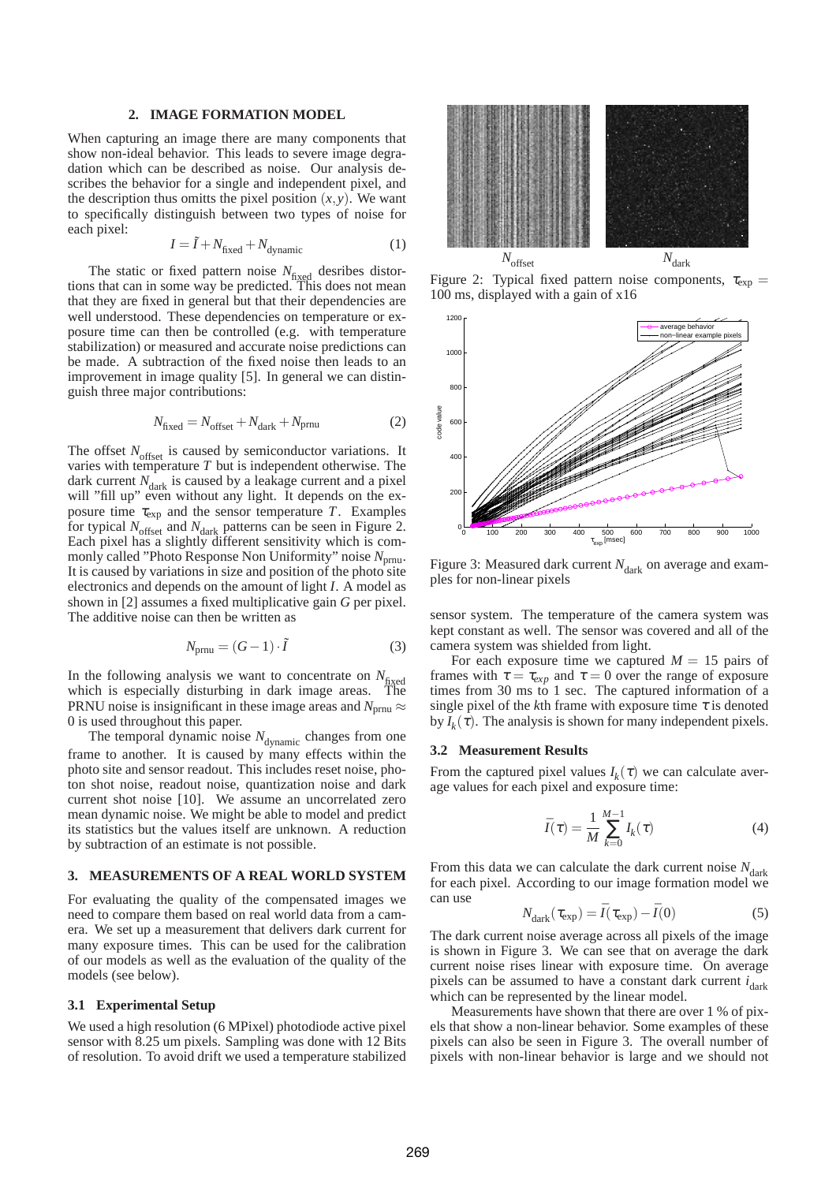## **2. IMAGE FORMATION MODEL**

When capturing an image there are many components that show non-ideal behavior. This leads to severe image degradation which can be described as noise. Our analysis describes the behavior for a single and independent pixel, and the description thus omitts the pixel position  $(x, y)$ . We want to specifically distinguish between two types of noise for each pixel:

$$
I = \tilde{I} + N_{\text{fixed}} + N_{\text{dynamic}} \tag{1}
$$

The static or fixed pattern noise  $N_{\text{fixed}}$  desribes distortions that can in some way be predicted. This does not mean that they are fixed in general but that their dependencies are well understood. These dependencies on temperature or exposure time can then be controlled (e.g. with temperature stabilization) or measured and accurate noise predictions can be made. A subtraction of the fixed noise then leads to an improvement in image quality [5]. In general we can distinguish three major contributions:

$$
N_{\text{fixed}} = N_{\text{offset}} + N_{\text{dark}} + N_{\text{prnu}} \tag{2}
$$

The offset *N*<sub>offset</sub> is caused by semiconductor variations. It varies with temperature *T* but is independent otherwise. The dark current  $N_{\text{dark}}$  is caused by a leakage current and a pixel will "fill up" even without any light. It depends on the exposure time  $\tau_{\exp}$  and the sensor temperature *T*. Examples for typical  $N_{\text{offset}}$  and  $N_{\text{dark}}$  patterns can be seen in Figure 2. Each pixel has a slightly different sensitivity which is commonly called "Photo Response Non Uniformity" noise N<sub>prnu</sub>. It is caused by variations in size and position of the photo site electronics and depends on the amount of light *I*. A model as shown in [2] assumes a fixed multiplicative gain *G* per pixel. The additive noise can then be written as

$$
N_{\text{prnu}} = (G - 1) \cdot \tilde{I} \tag{3}
$$

In the following analysis we want to concentrate on  $N_{\text{fixed}}$ which is especially disturbing in dark image areas. The PRNU noise is insignificant in these image areas and  $N_{prnu} \approx$ 0 is used throughout this paper.

The temporal dynamic noise  $N_{\text{dynamic}}$  changes from one frame to another. It is caused by many effects within the photo site and sensor readout. This includes reset noise, photon shot noise, readout noise, quantization noise and dark current shot noise [10]. We assume an uncorrelated zero mean dynamic noise. We might be able to model and predict its statistics but the values itself are unknown. A reduction by subtraction of an estimate is not possible.

## **3. MEASUREMENTS OF A REAL WORLD SYSTEM**

For evaluating the quality of the compensated images we need to compare them based on real world data from a camera. We set up a measurement that delivers dark current for many exposure times. This can be used for the calibration of our models as well as the evaluation of the quality of the models (see below).

## **3.1 Experimental Setup**

We used a high resolution (6 MPixel) photodiode active pixel sensor with 8.25 um pixels. Sampling was done with 12 Bits of resolution. To avoid drift we used a temperature stabilized



Figure 2: Typical fixed pattern noise components,  $\tau_{\text{exp}} =$ 100 ms, displayed with a gain of x16



Figure 3: Measured dark current *N*<sub>dark</sub> on average and examples for non-linear pixels

sensor system. The temperature of the camera system was kept constant as well. The sensor was covered and all of the camera system was shielded from light.

For each exposure time we captured  $M = 15$  pairs of frames with  $\tau = \tau_{exp}$  and  $\tau = 0$  over the range of exposure times from 30 ms to 1 sec. The captured information of a single pixel of the *k*th frame with exposure time  $\tau$  is denoted by  $I_k(\tau)$ . The analysis is shown for many independent pixels.

#### **3.2 Measurement Results**

From the captured pixel values  $I_k(\tau)$  we can calculate average values for each pixel and exposure time:

$$
\bar{I}(\tau) = \frac{1}{M} \sum_{k=0}^{M-1} I_k(\tau) \tag{4}
$$

From this data we can calculate the dark current noise  $N_{\text{dark}}$ for each pixel. According to our image formation model we can use

$$
N_{\text{dark}}(\tau_{\text{exp}}) = \bar{I}(\tau_{\text{exp}}) - \bar{I}(0) \tag{5}
$$

The dark current noise average across all pixels of the image is shown in Figure 3. We can see that on average the dark current noise rises linear with exposure time. On average pixels can be assumed to have a constant dark current *i*<sub>dark</sub> which can be represented by the linear model.

Measurements have shown that there are over 1 % of pixels that show a non-linear behavior. Some examples of these pixels can also be seen in Figure 3. The overall number of pixels with non-linear behavior is large and we should not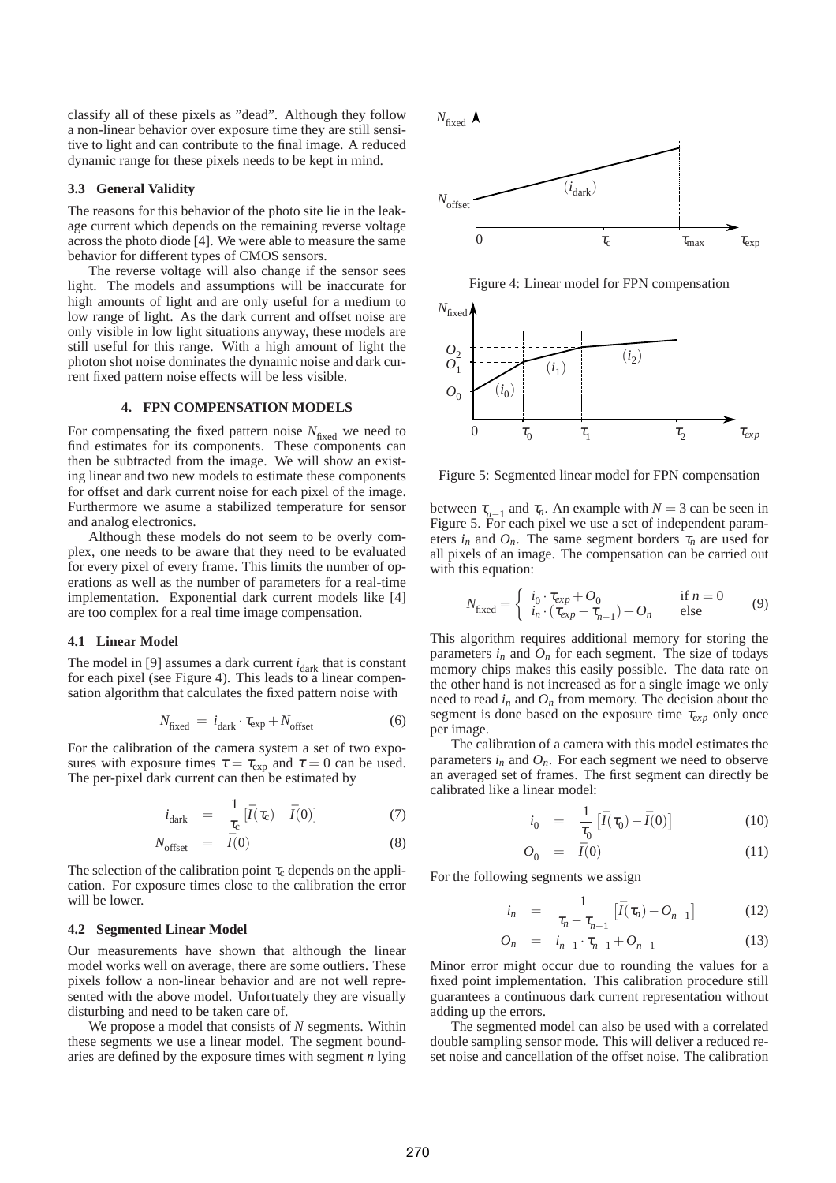classify all of these pixels as "dead". Although they follow a non-linear behavior over exposure time they are still sensitive to light and can contribute to the final image. A reduced dynamic range for these pixels needs to be kept in mind.

#### **3.3 General Validity**

The reasons for this behavior of the photo site lie in the leakage current which depends on the remaining reverse voltage across the photo diode [4]. We were able to measure the same behavior for different types of CMOS sensors.

The reverse voltage will also change if the sensor sees light. The models and assumptions will be inaccurate for high amounts of light and are only useful for a medium to low range of light. As the dark current and offset noise are only visible in low light situations anyway, these models are still useful for this range. With a high amount of light the photon shot noise dominates the dynamic noise and dark current fixed pattern noise effects will be less visible.

## **4. FPN COMPENSATION MODELS**

For compensating the fixed pattern noise  $N_{\text{fixed}}$  we need to find estimates for its components. These components can then be subtracted from the image. We will show an existing linear and two new models to estimate these components for offset and dark current noise for each pixel of the image. Furthermore we asume a stabilized temperature for sensor and analog electronics.

Although these models do not seem to be overly complex, one needs to be aware that they need to be evaluated for every pixel of every frame. This limits the number of operations as well as the number of parameters for a real-time implementation. Exponential dark current models like [4] are too complex for a real time image compensation.

## **4.1 Linear Model**

The model in [9] assumes a dark current  $i_{\text{dark}}$  that is constant for each pixel (see Figure 4). This leads to a linear compensation algorithm that calculates the fixed pattern noise with

$$
N_{\text{fixed}} = i_{\text{dark}} \cdot \tau_{\text{exp}} + N_{\text{offset}} \tag{6}
$$

For the calibration of the camera system a set of two exposures with exposure times  $\tau = \tau_{\exp}$  and  $\tau = 0$  can be used. The per-pixel dark current can then be estimated by

$$
i_{\text{dark}} = \frac{1}{\tau_{\text{c}}} [\bar{I}(\tau_{\text{c}}) - \bar{I}(0)] \tag{7}
$$

$$
N_{\text{offset}} = \bar{I}(0) \tag{8}
$$

The selection of the calibration point  $\tau_c$  depends on the application. For exposure times close to the calibration the error will be lower.

#### **4.2 Segmented Linear Model**

Our measurements have shown that although the linear model works well on average, there are some outliers. These pixels follow a non-linear behavior and are not well represented with the above model. Unfortuately they are visually disturbing and need to be taken care of.

We propose a model that consists of *N* segments. Within these segments we use a linear model. The segment boundaries are defined by the exposure times with segment *n* lying



Figure 4: Linear model for FPN compensation



Figure 5: Segmented linear model for FPN compensation

between  $\tau_{n-1}$  and  $\tau_n$ . An example with  $N = 3$  can be seen in Figure 5. For each pixel we use a set of independent parameters  $i_n$  and  $O_n$ . The same segment borders  $\tau_n$  are used for all pixels of an image. The compensation can be carried out with this equation:

$$
N_{\text{fixed}} = \begin{cases} i_0 \cdot \tau_{exp} + O_0 & \text{if } n = 0\\ i_n \cdot (\tau_{exp} - \tau_{n-1}) + O_n & \text{else} \end{cases}
$$
(9)

This algorithm requires additional memory for storing the parameters  $i_n$  and  $\overline{O}_n$  for each segment. The size of todays memory chips makes this easily possible. The data rate on the other hand is not increased as for a single image we only need to read  $i_n$  and  $O_n$  from memory. The decision about the segment is done based on the exposure time  $\tau_{exp}$  only once per image.

The calibration of a camera with this model estimates the parameters  $i_n$  and  $O_n$ . For each segment we need to observe an averaged set of frames. The first segment can directly be calibrated like a linear model:

$$
i_0 = \frac{1}{\tau_0} \left[ \bar{I}(\tau_0) - \bar{I}(0) \right] \tag{10}
$$

$$
O_0 = \bar{I}(0) \tag{11}
$$

For the following segments we assign

$$
i_n = \frac{1}{\tau_n - \tau_{n-1}} \left[ \bar{I}(\tau_n) - O_{n-1} \right] \tag{12}
$$

$$
O_n = i_{n-1} \cdot \tau_{n-1} + O_{n-1} \tag{13}
$$

Minor error might occur due to rounding the values for a fixed point implementation. This calibration procedure still guarantees a continuous dark current representation without adding up the errors.

The segmented model can also be used with a correlated double sampling sensor mode. This will deliver a reduced reset noise and cancellation of the offset noise. The calibration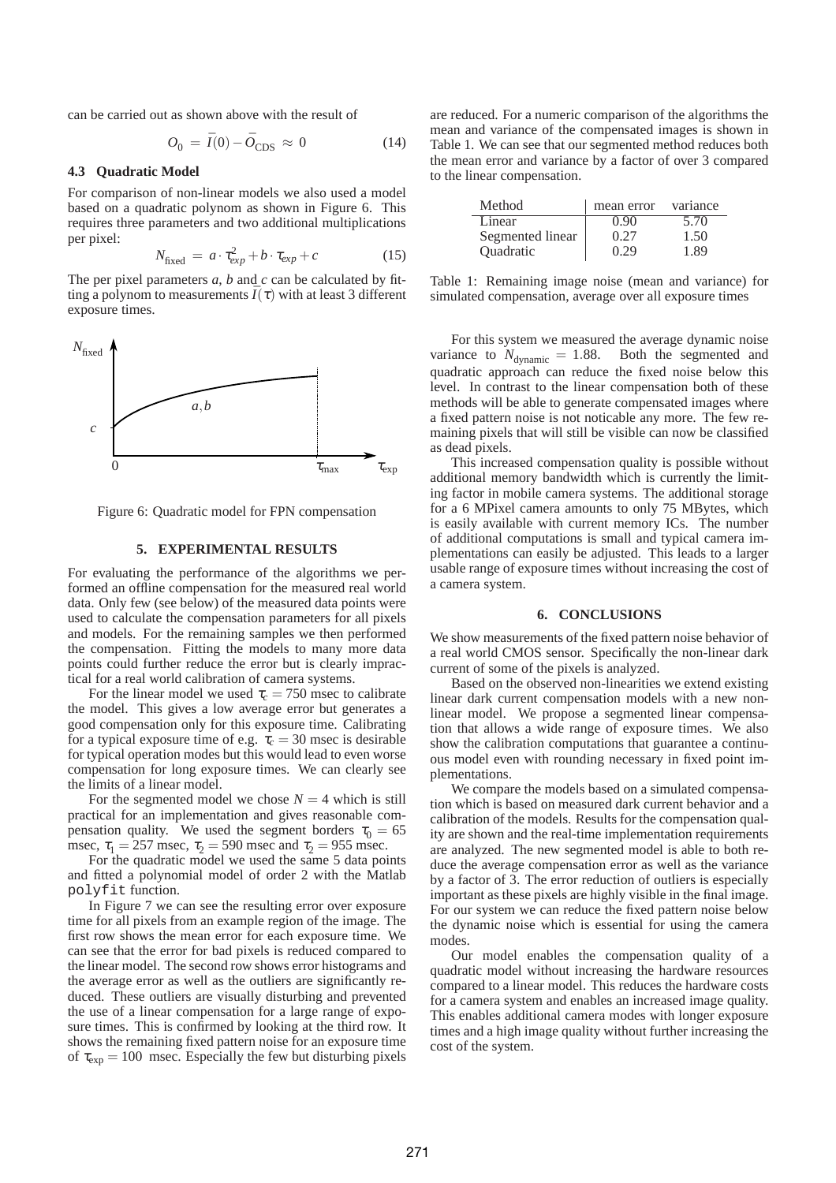can be carried out as shown above with the result of

$$
O_0 = \bar{I}(0) - \bar{O}_{\text{CDS}} \approx 0 \tag{14}
$$

## **4.3 Quadratic Model**

For comparison of non-linear models we also used a model based on a quadratic polynom as shown in Figure 6. This requires three parameters and two additional multiplications per pixel:

$$
N_{\text{fixed}} = a \cdot \tau_{exp}^2 + b \cdot \tau_{exp} + c \tag{15}
$$

The per pixel parameters *a*, *b* and *c* can be calculated by fitting a polynom to measurements  $\bar{I}(\tau)$  with at least 3 different exposure times.



Figure 6: Quadratic model for FPN compensation

## **5. EXPERIMENTAL RESULTS**

For evaluating the performance of the algorithms we performed an offline compensation for the measured real world data. Only few (see below) of the measured data points were used to calculate the compensation parameters for all pixels and models. For the remaining samples we then performed the compensation. Fitting the models to many more data points could further reduce the error but is clearly impractical for a real world calibration of camera systems.

For the linear model we used  $\tau_c = 750$  msec to calibrate the model. This gives a low average error but generates a good compensation only for this exposure time. Calibrating for a typical exposure time of e.g.  $\tau_c = 30$  msec is desirable for typical operation modes but this would lead to even worse compensation for long exposure times. We can clearly see the limits of a linear model.

For the segmented model we chose  $N = 4$  which is still practical for an implementation and gives reasonable compensation quality. We used the segment borders  $\tau_0 = 65$ msec,  $\tau_1 = 257$  msec,  $\tau_2 = 590$  msec and  $\tau_2 = 955$  msec.

For the quadratic model we used the same 5 data points and fitted a polynomial model of order 2 with the Matlab polyfit function.

In Figure 7 we can see the resulting error over exposure time for all pixels from an example region of the image. The first row shows the mean error for each exposure time. We can see that the error for bad pixels is reduced compared to the linear model. The second row shows error histograms and the average error as well as the outliers are significantly reduced. These outliers are visually disturbing and prevented the use of a linear compensation for a large range of exposure times. This is confirmed by looking at the third row. It shows the remaining fixed pattern noise for an exposure time of  $\tau_{\text{exp}} = 100$  msec. Especially the few but disturbing pixels

are reduced. For a numeric comparison of the algorithms the mean and variance of the compensated images is shown in Table 1. We can see that our segmented method reduces both the mean error and variance by a factor of over 3 compared to the linear compensation.

| Method           | mean error | variance |
|------------------|------------|----------|
| Linear           | N 90       | 5.70     |
| Segmented linear | 0.27       | 1.50     |
| Quadratic        | 0.29       | 1 89     |

Table 1: Remaining image noise (mean and variance) for simulated compensation, average over all exposure times

For this system we measured the average dynamic noise variance to  $N_{\text{dynamic}} = 1.88$ . Both the segmented and quadratic approach can reduce the fixed noise below this level. In contrast to the linear compensation both of these methods will be able to generate compensated images where a fixed pattern noise is not noticable any more. The few remaining pixels that will still be visible can now be classified as dead pixels.

This increased compensation quality is possible without additional memory bandwidth which is currently the limiting factor in mobile camera systems. The additional storage for a 6 MPixel camera amounts to only 75 MBytes, which is easily available with current memory ICs. The number of additional computations is small and typical camera implementations can easily be adjusted. This leads to a larger usable range of exposure times without increasing the cost of a camera system.

### **6. CONCLUSIONS**

We show measurements of the fixed pattern noise behavior of a real world CMOS sensor. Specifically the non-linear dark current of some of the pixels is analyzed.

Based on the observed non-linearities we extend existing linear dark current compensation models with a new nonlinear model. We propose a segmented linear compensation that allows a wide range of exposure times. We also show the calibration computations that guarantee a continuous model even with rounding necessary in fixed point implementations.

We compare the models based on a simulated compensation which is based on measured dark current behavior and a calibration of the models. Results for the compensation quality are shown and the real-time implementation requirements are analyzed. The new segmented model is able to both reduce the average compensation error as well as the variance by a factor of 3. The error reduction of outliers is especially important as these pixels are highly visible in the final image. For our system we can reduce the fixed pattern noise below the dynamic noise which is essential for using the camera modes.

Our model enables the compensation quality of a quadratic model without increasing the hardware resources compared to a linear model. This reduces the hardware costs for a camera system and enables an increased image quality. This enables additional camera modes with longer exposure times and a high image quality without further increasing the cost of the system.